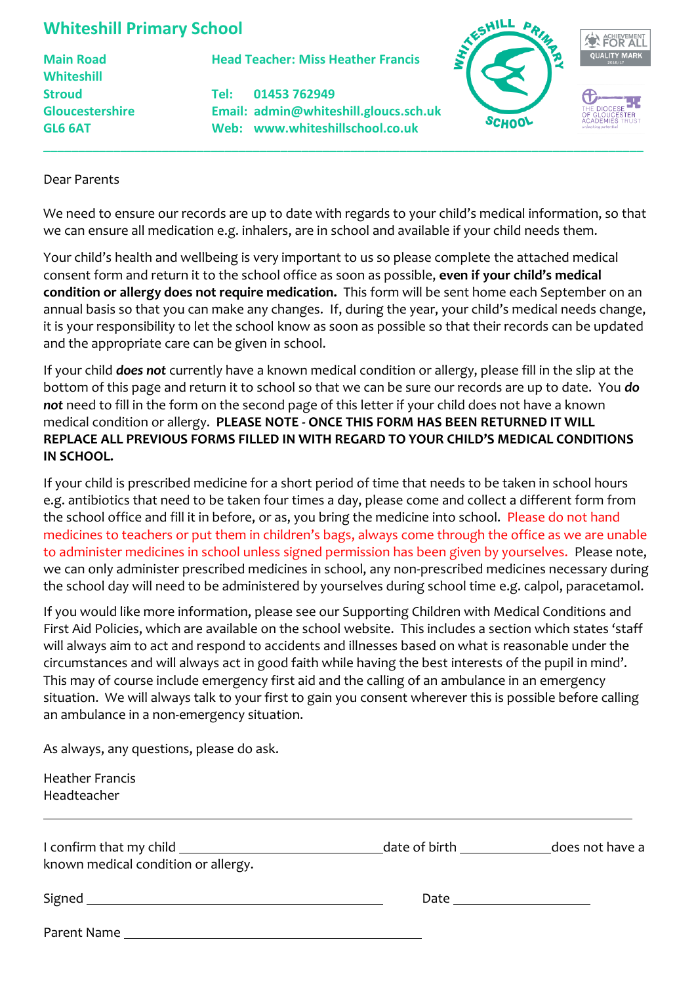## **Whiteshill Primary School**

**Whiteshill**

**Main Road Head Teacher: Miss Heather Francis**

**Stroud Tel: 01453 762949 Gloucestershire Email: admin@whiteshill.gloucs.sch.uk GL6 6AT Web: www.whiteshillschool.co.uk**



## Dear Parents

We need to ensure our records are up to date with regards to your child's medical information, so that we can ensure all medication e.g. inhalers, are in school and available if your child needs them.

**\_\_\_\_\_\_\_\_\_\_\_\_\_\_\_\_\_\_\_\_\_\_\_\_\_\_\_\_\_\_\_\_\_\_\_\_\_\_\_\_\_\_\_\_\_\_\_\_\_\_\_\_\_\_\_\_\_\_\_\_\_\_\_\_\_\_\_\_\_\_\_\_\_\_\_\_\_\_\_\_\_\_\_\_\_\_**

Your child's health and wellbeing is very important to us so please complete the attached medical consent form and return it to the school office as soon as possible, **even if your child's medical condition or allergy does not require medication.** This form will be sent home each September on an annual basis so that you can make any changes. If, during the year, your child's medical needs change, it is your responsibility to let the school know as soon as possible so that their records can be updated and the appropriate care can be given in school.

If your child *does not* currently have a known medical condition or allergy, please fill in the slip at the bottom of this page and return it to school so that we can be sure our records are up to date. You *do not* need to fill in the form on the second page of this letter if your child does not have a known medical condition or allergy. **PLEASE NOTE - ONCE THIS FORM HAS BEEN RETURNED IT WILL REPLACE ALL PREVIOUS FORMS FILLED IN WITH REGARD TO YOUR CHILD'S MEDICAL CONDITIONS IN SCHOOL.**

If your child is prescribed medicine for a short period of time that needs to be taken in school hours e.g. antibiotics that need to be taken four times a day, please come and collect a different form from the school office and fill it in before, or as, you bring the medicine into school. Please do not hand medicines to teachers or put them in children's bags, always come through the office as we are unable to administer medicines in school unless signed permission has been given by yourselves. Please note, we can only administer prescribed medicines in school, any non-prescribed medicines necessary during the school day will need to be administered by yourselves during school time e.g. calpol, paracetamol.

If you would like more information, please see our Supporting Children with Medical Conditions and First Aid Policies, which are available on the school website. This includes a section which states 'staff will always aim to act and respond to accidents and illnesses based on what is reasonable under the circumstances and will always act in good faith while having the best interests of the pupil in mind'. This may of course include emergency first aid and the calling of an ambulance in an emergency situation. We will always talk to your first to gain you consent wherever this is possible before calling an ambulance in a non-emergency situation.

As always, any questions, please do ask.

Heather Francis Headteacher

| known medical condition or allergy. | date of birth <b>contact to the contact of the contact of</b> | does not have a |
|-------------------------------------|---------------------------------------------------------------|-----------------|
| Signed                              | Date                                                          |                 |
| Parent Name                         |                                                               |                 |